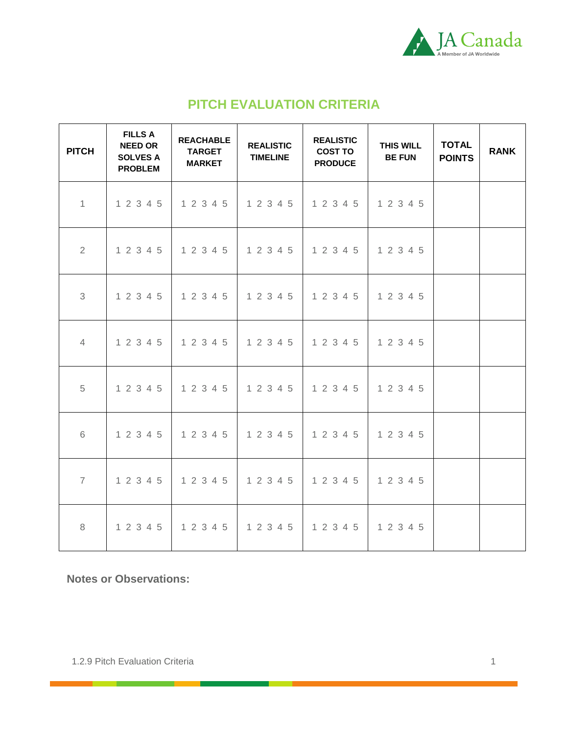

## **PITCH EVALUATION CRITERIA**

| <b>PITCH</b>   | <b>FILLS A</b><br><b>NEED OR</b><br><b>SOLVES A</b><br><b>PROBLEM</b> | <b>REACHABLE</b><br><b>TARGET</b><br><b>MARKET</b> | <b>REALISTIC</b><br><b>TIMELINE</b> | <b>REALISTIC</b><br><b>COST TO</b><br><b>PRODUCE</b> | <b>THIS WILL</b><br><b>BE FUN</b> | <b>TOTAL</b><br><b>POINTS</b> | <b>RANK</b> |
|----------------|-----------------------------------------------------------------------|----------------------------------------------------|-------------------------------------|------------------------------------------------------|-----------------------------------|-------------------------------|-------------|
| $\mathbf{1}$   | 1 2 3 4 5                                                             | 1 2 3 4 5                                          | 1 2 3 4 5                           | 1 2 3 4 5                                            | 1 2 3 4 5                         |                               |             |
| 2              | 1 2 3 4 5                                                             | 1 2 3 4 5                                          | 1 2 3 4 5                           | 1 2 3 4 5                                            | 1 2 3 4 5                         |                               |             |
| 3              | 1 2 3 4 5                                                             | 1 2 3 4 5                                          | 1 2 3 4 5                           | 1 2 3 4 5                                            | 1 2 3 4 5                         |                               |             |
| $\overline{4}$ | 1 2 3 4 5                                                             | 1 2 3 4 5                                          | 1 2 3 4 5                           | 1 2 3 4 5                                            | 1 2 3 4 5                         |                               |             |
| 5              | 1 2 3 4 5                                                             | 1 2 3 4 5                                          | 1 2 3 4 5                           | 1 2 3 4 5                                            | 1 2 3 4 5                         |                               |             |
| 6              | 1 2 3 4 5                                                             | 1 2 3 4 5                                          | 1 2 3 4 5                           | 1 2 3 4 5                                            | 1 2 3 4 5                         |                               |             |
| $\overline{7}$ | 1 2 3 4 5                                                             | 1 2 3 4 5                                          | 1 2 3 4 5                           | 1 2 3 4 5                                            | 1 2 3 4 5                         |                               |             |
| 8              | 1 2 3 4 5                                                             | 1 2 3 4 5                                          | 1 2 3 4 5                           | 1 2 3 4 5                                            | 1 2 3 4 5                         |                               |             |

**Notes or Observations:**